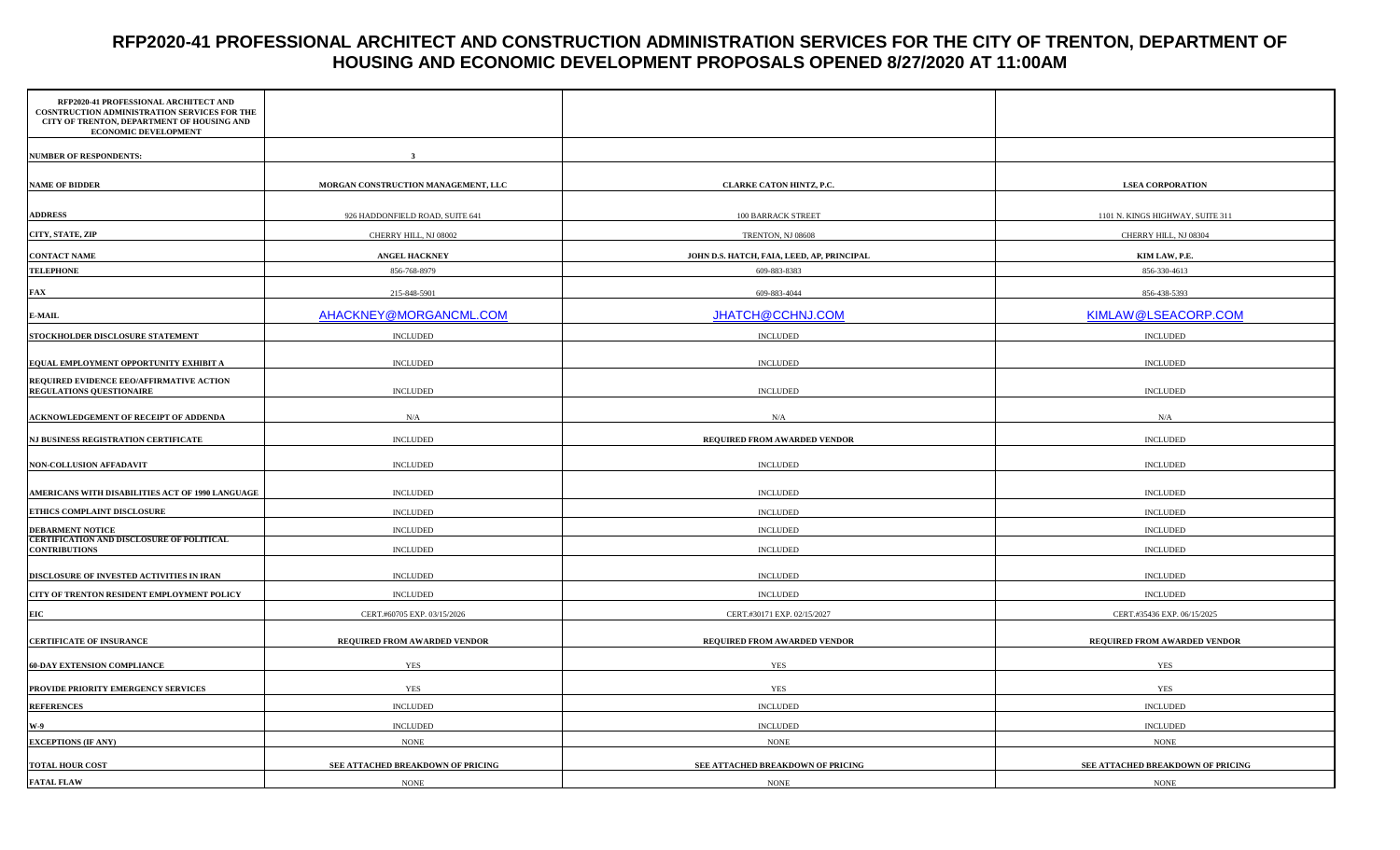# **RFP2020-41 PROFESSIONAL ARCHITECT AND CONSTRUCTION ADMINISTRATION SERVICES FOR THE CITY OF TRENTON, DEPARTMENT OF HOUSING AND ECONOMIC DEVELOPMENT PROPOSALS OPENED 8/27/2020 AT 11:00AM**

| RFP2020-41 PROFESSIONAL ARCHITECT AND<br>COSNTRUCTION ADMINISTRATION SERVICES FOR THE<br>CITY OF TRENTON, DEPARTMENT OF HOUSING AND<br>ECONOMIC DEVELOPMENT |                                     |                                            |                                   |
|-------------------------------------------------------------------------------------------------------------------------------------------------------------|-------------------------------------|--------------------------------------------|-----------------------------------|
| <b>NUMBER OF RESPONDENTS:</b>                                                                                                                               |                                     |                                            |                                   |
| <b>NAME OF BIDDER</b>                                                                                                                                       | MORGAN CONSTRUCTION MANAGEMENT, LLC | CLARKE CATON HINTZ, P.C.                   | <b>LSEA CORPORATION</b>           |
|                                                                                                                                                             |                                     |                                            |                                   |
| <b>ADDRESS</b>                                                                                                                                              | 926 HADDONFIELD ROAD, SUITE 641     | 100 BARRACK STREET                         | 1101 N. KINGS HIGHWAY, SUITE 311  |
| CITY, STATE, ZIP                                                                                                                                            | CHERRY HILL, NJ 08002               | TRENTON, NJ 08608                          | CHERRY HILL, NJ 08304             |
| <b>CONTACT NAME</b>                                                                                                                                         | <b>ANGEL HACKNEY</b>                | JOHN D.S. HATCH, FAIA, LEED, AP, PRINCIPAL | KIM LAW, P.E.                     |
| <b>TELEPHONE</b>                                                                                                                                            | 856-768-8979                        | 609-883-8383                               | 856-330-4613                      |
| <b>FAX</b>                                                                                                                                                  | 215-848-5901                        | 609-883-4044                               | 856-438-5393                      |
| ${\bf E}\text{-}{\bf M}{\bf A}{\bf I}{\bf L}$                                                                                                               | AHACKNEY@MORGANCML.COM              | JHATCH@CCHNJ.COM                           | KIMLAW@LSEACORP.COM               |
| STOCKHOLDER DISCLOSURE STATEMENT                                                                                                                            | <b>INCLUDED</b>                     | <b>INCLUDED</b>                            | <b>INCLUDED</b>                   |
| EQUAL EMPLOYMENT OPPORTUNITY EXHIBIT A                                                                                                                      | $\sf INCLUDED$                      | <b>INCLUDED</b>                            | $\textsc{INCLUDED}$               |
| REQUIRED EVIDENCE EEO/AFFIRMATIVE ACTION<br><b>REGULATIONS QUESTIONAIRE</b>                                                                                 | <b>INCLUDED</b>                     | <b>INCLUDED</b>                            | <b>INCLUDED</b>                   |
| ACKNOWLEDGEMENT OF RECEIPT OF ADDENDA                                                                                                                       | N/A                                 | N/A                                        | N/A                               |
| NJ BUSINESS REGISTRATION CERTIFICATE                                                                                                                        | <b>INCLUDED</b>                     | REQUIRED FROM AWARDED VENDOR               | <b>INCLUDED</b>                   |
| <b>NON-COLLUSION AFFADAVIT</b>                                                                                                                              | <b>INCLUDED</b>                     | <b>INCLUDED</b>                            | <b>INCLUDED</b>                   |
| AMERICANS WITH DISABILITIES ACT OF 1990 LANGUAGE                                                                                                            | <b>INCLUDED</b>                     | <b>INCLUDED</b>                            | <b>INCLUDED</b>                   |
| ETHICS COMPLAINT DISCLOSURE                                                                                                                                 | <b>INCLUDED</b>                     | <b>INCLUDED</b>                            | <b>INCLUDED</b>                   |
| <b>DEBARMENT NOTICE</b>                                                                                                                                     | <b>INCLUDED</b>                     | <b>INCLUDED</b>                            | <b>INCLUDED</b>                   |
| <b>CERTIFICATION AND DISCLOSURE OF POLITICAL</b><br><b>CONTRIBUTIONS</b>                                                                                    | <b>INCLUDED</b>                     | <b>INCLUDED</b>                            | <b>INCLUDED</b>                   |
| DISCLOSURE OF INVESTED ACTIVITIES IN IRAN                                                                                                                   | <b>INCLUDED</b>                     | <b>INCLUDED</b>                            | <b>INCLUDED</b>                   |
| CITY OF TRENTON RESIDENT EMPLOYMENT POLICY                                                                                                                  | <b>INCLUDED</b>                     | <b>INCLUDED</b>                            | <b>INCLUDED</b>                   |
| <b>EIC</b>                                                                                                                                                  | CERT.#60705 EXP. 03/15/2026         | CERT.#30171 EXP. 02/15/2027                | CERT.#35436 EXP. 06/15/2025       |
| <b>CERTIFICATE OF INSURANCE</b>                                                                                                                             | REQUIRED FROM AWARDED VENDOR        | REQUIRED FROM AWARDED VENDOR               | REQUIRED FROM AWARDED VENDOR      |
| <b>60-DAY EXTENSION COMPLIANCE</b>                                                                                                                          | <b>YES</b>                          | YES                                        | <b>YES</b>                        |
| PROVIDE PRIORITY EMERGENCY SERVICES                                                                                                                         | YES                                 | YES                                        | YES                               |
| <b>REFERENCES</b>                                                                                                                                           | <b>INCLUDED</b>                     | <b>INCLUDED</b>                            | <b>INCLUDED</b>                   |
| $W-9$                                                                                                                                                       | <b>INCLUDED</b>                     | <b>INCLUDED</b>                            | $\sf INCLUDED$                    |
| <b>EXCEPTIONS (IF ANY)</b>                                                                                                                                  | <b>NONE</b>                         | $\rm{NONE}$                                | $\rm{NONE}$                       |
| <b>TOTAL HOUR COST</b>                                                                                                                                      | SEE ATTACHED BREAKDOWN OF PRICING   | SEE ATTACHED BREAKDOWN OF PRICING          | SEE ATTACHED BREAKDOWN OF PRICING |
| <b>FATAL FLAW</b>                                                                                                                                           | <b>NONE</b>                         | <b>NONE</b>                                | <b>NONE</b>                       |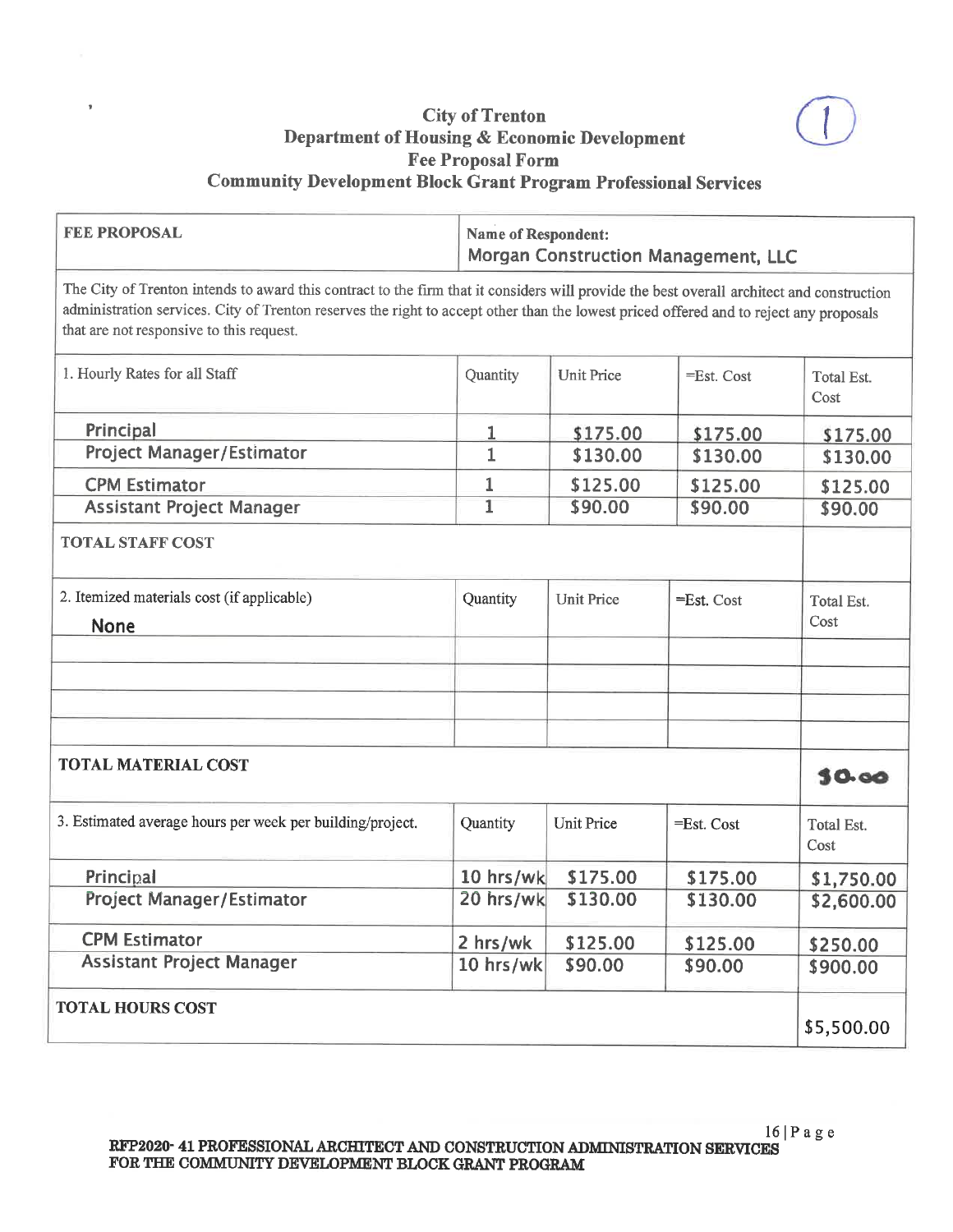

## **City of Trenton** Department of Housing & Economic Development **Fee Proposal Form Community Development Block Grant Program Professional Services**

| <b>FEE PROPOSAL</b>                                                                                                                                                                                                                                                                                                             |                | <b>Name of Respondent:</b><br>Morgan Construction Management, LLC |               |                    |  |
|---------------------------------------------------------------------------------------------------------------------------------------------------------------------------------------------------------------------------------------------------------------------------------------------------------------------------------|----------------|-------------------------------------------------------------------|---------------|--------------------|--|
| The City of Trenton intends to award this contract to the firm that it considers will provide the best overall architect and construction<br>administration services. City of Trenton reserves the right to accept other than the lowest priced offered and to reject any proposals<br>that are not responsive to this request. |                |                                                                   |               |                    |  |
| 1. Hourly Rates for all Staff                                                                                                                                                                                                                                                                                                   | Quantity       | <b>Unit Price</b>                                                 | =Est. Cost    | Total Est.<br>Cost |  |
| Principal                                                                                                                                                                                                                                                                                                                       | 1              | \$175.00                                                          | \$175.00      | \$175.00           |  |
| Project Manager/Estimator                                                                                                                                                                                                                                                                                                       | $\mathbf{1}$   | \$130.00                                                          | \$130.00      | \$130.00           |  |
| <b>CPM Estimator</b>                                                                                                                                                                                                                                                                                                            | 1              | \$125.00                                                          | \$125.00      | \$125.00           |  |
| <b>Assistant Project Manager</b>                                                                                                                                                                                                                                                                                                | $\overline{1}$ | \$90.00                                                           | \$90.00       | \$90.00            |  |
| <b>TOTAL STAFF COST</b>                                                                                                                                                                                                                                                                                                         |                |                                                                   |               |                    |  |
| 2. Itemized materials cost (if applicable)<br><b>None</b>                                                                                                                                                                                                                                                                       | Quantity       | <b>Unit Price</b>                                                 | $=$ Est. Cost | Total Est.<br>Cost |  |
|                                                                                                                                                                                                                                                                                                                                 |                |                                                                   |               |                    |  |
| <b>TOTAL MATERIAL COST</b>                                                                                                                                                                                                                                                                                                      |                |                                                                   |               |                    |  |
| 3. Estimated average hours per week per building/project.                                                                                                                                                                                                                                                                       | Quantity       | <b>Unit Price</b>                                                 | =Est. Cost    | Total Est.<br>Cost |  |
| Principal                                                                                                                                                                                                                                                                                                                       | 10 hrs/wk      | \$175.00                                                          | \$175.00      | \$1,750.00         |  |
| Project Manager/Estimator                                                                                                                                                                                                                                                                                                       | 20 hrs/wk      | \$130.00                                                          | \$130.00      | \$2,600.00         |  |
| <b>CPM Estimator</b>                                                                                                                                                                                                                                                                                                            | 2 hrs/wk       | \$125.00                                                          | \$125.00      | \$250.00           |  |
| <b>Assistant Project Manager</b>                                                                                                                                                                                                                                                                                                | 10 hrs/wk      | \$90.00                                                           | \$90.00       | \$900.00           |  |
| <b>TOTAL HOURS COST</b>                                                                                                                                                                                                                                                                                                         |                |                                                                   |               | \$5,500.00         |  |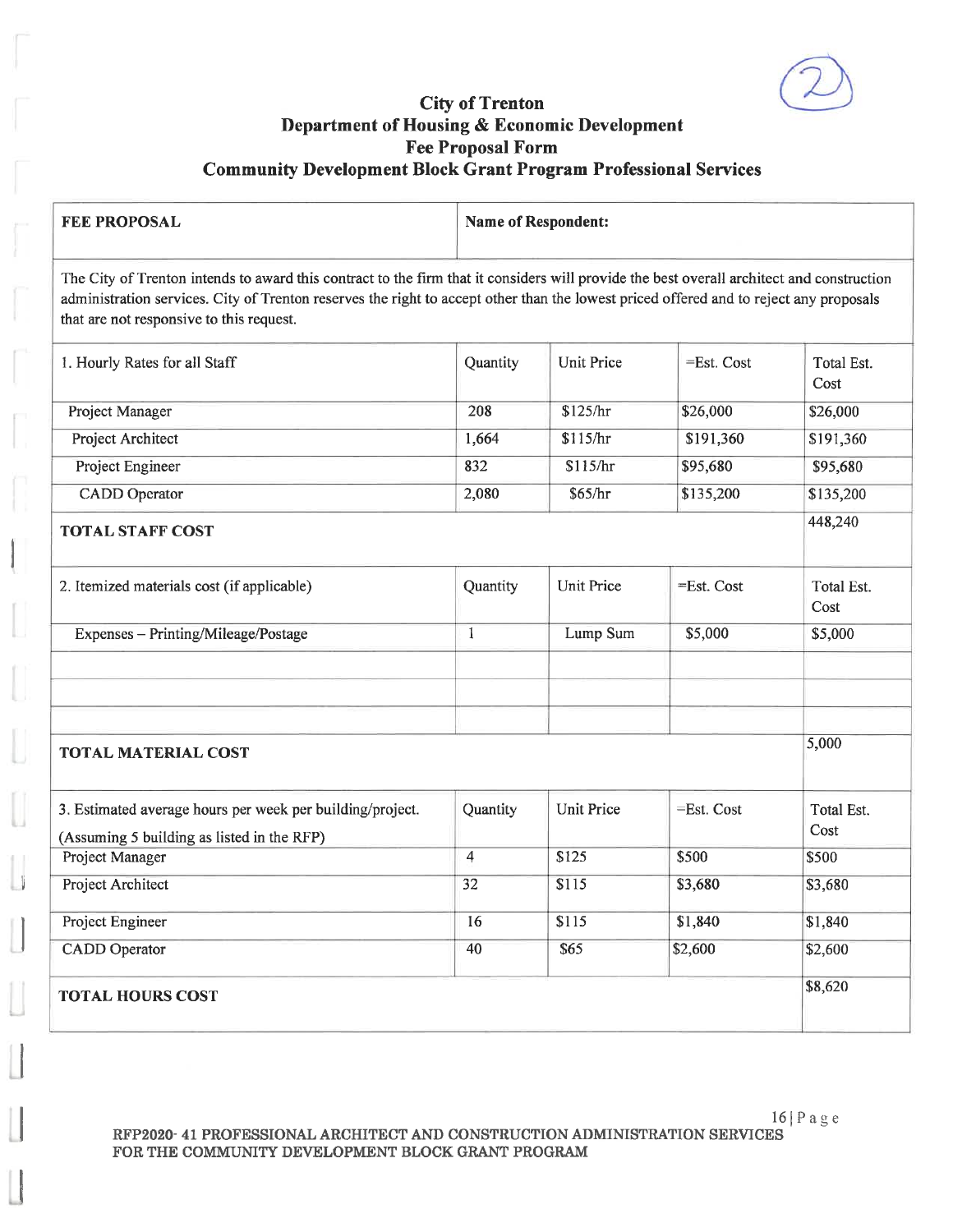#### **City of Trenton** Department of Housing & Economic Development **Fee Proposal Form Community Development Block Grant Program Professional Services**

| <b>FEE PROPOSAL</b>                                                                                                                                                                                                                                                                                                             |          | <b>Name of Respondent:</b> |               |                    |  |  |
|---------------------------------------------------------------------------------------------------------------------------------------------------------------------------------------------------------------------------------------------------------------------------------------------------------------------------------|----------|----------------------------|---------------|--------------------|--|--|
| The City of Trenton intends to award this contract to the firm that it considers will provide the best overall architect and construction<br>administration services. City of Trenton reserves the right to accept other than the lowest priced offered and to reject any proposals<br>that are not responsive to this request. |          |                            |               |                    |  |  |
| 1. Hourly Rates for all Staff                                                                                                                                                                                                                                                                                                   | Quantity | Unit Price                 | $=$ Est. Cost | Total Est.<br>Cost |  |  |
| Project Manager                                                                                                                                                                                                                                                                                                                 | 208      | \$125/hr                   | \$26,000      | \$26,000           |  |  |
| Project Architect                                                                                                                                                                                                                                                                                                               | 1,664    | \$115/hr                   | \$191,360     | \$191,360          |  |  |
| Project Engineer                                                                                                                                                                                                                                                                                                                | 832      | \$115/hr                   | \$95,680      | \$95,680           |  |  |
| <b>CADD</b> Operator                                                                                                                                                                                                                                                                                                            | 2,080    | \$65/hr                    | \$135,200     | \$135,200          |  |  |
| <b>TOTAL STAFF COST</b>                                                                                                                                                                                                                                                                                                         |          |                            |               | 448,240            |  |  |
| 2. Itemized materials cost (if applicable)                                                                                                                                                                                                                                                                                      | Quantity | <b>Unit Price</b>          | $=$ Est. Cost | Total Est.<br>Cost |  |  |
| Expenses - Printing/Mileage/Postage                                                                                                                                                                                                                                                                                             | 1        | Lump Sum                   | \$5,000       | \$5,000            |  |  |
|                                                                                                                                                                                                                                                                                                                                 |          |                            |               |                    |  |  |

#### **TOTAL MATERIAL COST**

| 3. Estimated average hours per week per building/project.<br>(Assuming 5 building as listed in the RFP) | Quantity | <b>Unit Price</b> | $=$ Est. Cost | Total Est.<br>Cost |
|---------------------------------------------------------------------------------------------------------|----------|-------------------|---------------|--------------------|
| Project Manager                                                                                         | 4        | \$125             | \$500         | \$500              |
| Project Architect                                                                                       | 32       | \$115             | \$3,680       | \$3,680            |
| Project Engineer                                                                                        | 16       | \$115             | \$1,840       | \$1,840            |
| <b>CADD</b> Operator                                                                                    | 40       | \$65              | \$2,600       | \$2,600            |
| <b>TOTAL HOURS COST</b>                                                                                 |          |                   |               | \$8,620            |

5,000